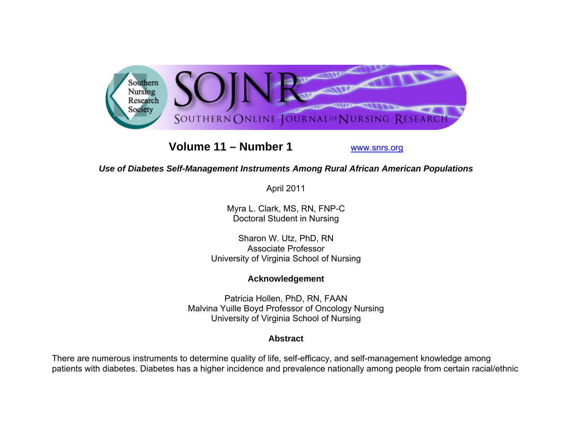

# **Volume 11 – Number 1**

www.snrs.org

## *Use of Diabetes Self-Management Instruments Among Rural African American Populations*

April 2011

Myra L. Clark, MS, RN, FNP-C Doctoral Student in Nursing

Sharon W. Utz, PhD, RN Associate Professor University of Virginia School of Nursing

## **Acknowledgement**

Patricia Hollen, PhD, RN, FAAN Malvina Yuille Boyd Professor of Oncology Nursing University of Virginia School of Nursing

## **Abstract**

There are numerous instruments to determine quality of life, self-efficacy, and self-management knowledge among patients with diabetes. Diabetes has a higher incidence and prevalence nationally among people from certain racial/ethnic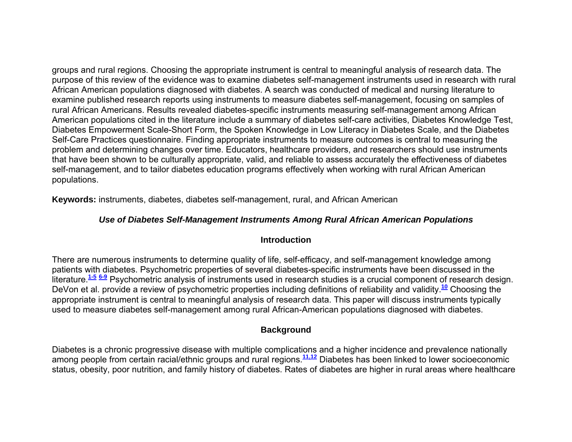groups and rural regions. Choosing the appropriate instrument is central to meaningful analysis of research data. The purpose of this review of the evidence was to examine diabetes self-management instruments used in research with rural African American populations diagnosed with diabetes. A search was conducted of medical and nursing literature to examine published research reports using instruments to measure diabetes self-management, focusing on samples of rural African Americans. Results revealed diabetes-specific instruments measuring self-management among African American populations cited in the literature include a summary of diabetes self-care activities, Diabetes Knowledge Test, Diabetes Empowerment Scale-Short Form, the Spoken Knowledge in Low Literacy in Diabetes Scale, and the Diabetes Self-Care Practices questionnaire. Finding appropriate instruments to measure outcomes is central to measuring the problem and determining changes over time. Educators, healthcare providers, and researchers should use instruments that have been shown to be culturally appropriate, valid, and reliable to assess accurately the effectiveness of diabetes self-management, and to tailor diabetes education programs effectively when working with rural African American populations.

**Keywords:** instruments, diabetes, diabetes self-management, rural, and African American

## *Use of Diabetes Self-Management Instruments Among Rural African American Populations*

## **Introduction**

There are numerous instruments to determine quality of life, self-efficacy, and self-management knowledge among patients with diabetes. Psychometric properties of several diabetes-specific instruments have been discussed in the literature.**1-5 6-9** Psychometric analysis of instruments used in research studies is a crucial component of research design. DeVon et al. provide a review of psychometric properties including definitions of reliability and validity.**<sup>10</sup>** Choosing the appropriate instrument is central to meaningful analysis of research data. This paper will discuss instruments typically used to measure diabetes self-management among rural African-American populations diagnosed with diabetes.

## **Background**

Diabetes is a chronic progressive disease with multiple complications and a higher incidence and prevalence nationally among people from certain racial/ethnic groups and rural regions.**11,12** Diabetes has been linked to lower socioeconomic status, obesity, poor nutrition, and family history of diabetes. Rates of diabetes are higher in rural areas where healthcare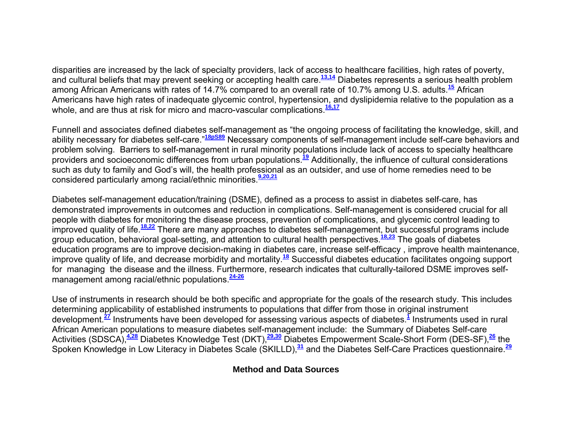disparities are increased by the lack of specialty providers, lack of access to healthcare facilities, high rates of poverty, and cultural beliefs that may prevent seeking or accepting health care.**13,14** Diabetes represents a serious health problem among African Americans with rates of 14.7% compared to an overall rate of 10.7% among U.S. adults.**<sup>15</sup>** African Americans have high rates of inadequate glycemic control, hypertension, and dyslipidemia relative to the population as a whole, and are thus at risk for micro and macro-vascular complications.<sup>16,17</sup>

Funnell and associates defined diabetes self-management as "the ongoing process of facilitating the knowledge, skill, and ability necessary for diabetes self-care."**18pS89** Necessary components of self-management include self-care behaviors and problem solving. Barriers to self-management in rural minority populations include lack of access to specialty healthcare providers and socioeconomic differences from urban populations.**<sup>19</sup>** Additionally, the influence of cultural considerations such as duty to family and God's will, the health professional as an outsider, and use of home remedies need to be considered particularly among racial/ethnic minorities.**9,20,21**

Diabetes self-management education/training (DSME), defined as a process to assist in diabetes self-care, has demonstrated improvements in outcomes and reduction in complications. Self-management is considered crucial for all people with diabetes for monitoring the disease process, prevention of complications, and glycemic control leading to improved quality of life.**18,22** There are many approaches to diabetes self-management, but successful programs include group education, behavioral goal-setting, and attention to cultural health perspectives.**18,23** The goals of diabetes education programs are to improve decision-making in diabetes care, increase self-efficacy , improve health maintenance, improve quality of life, and decrease morbidity and mortality.**<sup>18</sup>** Successful diabetes education facilitates ongoing support for managing the disease and the illness. Furthermore, research indicates that culturally-tailored DSME improves selfmanagement among racial/ethnic populations.**24-26**

Use of instruments in research should be both specific and appropriate for the goals of the research study. This includes determining applicability of established instruments to populations that differ from those in original instrument development.**<sup>27</sup>** Instruments have been developed for assessing various aspects of diabetes.**<sup>1</sup>** Instruments used in rural African American populations to measure diabetes self-management include: the Summary of Diabetes Self-care Activities (SDSCA),**4,28** Diabetes Knowledge Test (DKT),**29,30** Diabetes Empowerment Scale-Short Form (DES-SF),**<sup>26</sup>** the Spoken Knowledge in Low Literacy in Diabetes Scale (SKILLD),**<sup>31</sup>** and the Diabetes Self-Care Practices questionnaire.**<sup>29</sup>**

## **Method and Data Sources**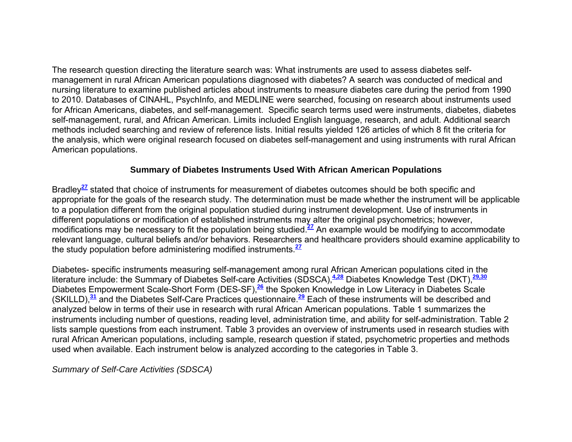The research question directing the literature search was: What instruments are used to assess diabetes selfmanagement in rural African American populations diagnosed with diabetes? A search was conducted of medical and nursing literature to examine published articles about instruments to measure diabetes care during the period from 1990 to 2010. Databases of CINAHL, PsychInfo, and MEDLINE were searched, focusing on research about instruments used for African Americans, diabetes, and self-management. Specific search terms used were instruments, diabetes, diabetes self-management, rural, and African American. Limits included English language, research, and adult. Additional search methods included searching and review of reference lists. Initial results yielded 126 articles of which 8 fit the criteria for the analysis, which were original research focused on diabetes self-management and using instruments with rural African American populations.

#### **Summary of Diabetes Instruments Used With African American Populations**

Bradley**<sup>27</sup>** stated that choice of instruments for measurement of diabetes outcomes should be both specific and appropriate for the goals of the research study. The determination must be made whether the instrument will be applicable to a population different from the original population studied during instrument development. Use of instruments in different populations or modification of established instruments may alter the original psychometrics; however, modifications may be necessary to fit the population being studied.**<sup>27</sup>** An example would be modifying to accommodate relevant language, cultural beliefs and/or behaviors. Researchers and healthcare providers should examine applicability to the study population before administering modified instruments.**<sup>27</sup>**

Diabetes- specific instruments measuring self-management among rural African American populations cited in the literature include: the Summary of Diabetes Self-care Activities (SDSCA),**4,28** Diabetes Knowledge Test (DKT),**29,30** Diabetes Empowerment Scale-Short Form (DES-SF),**<sup>26</sup>** the Spoken Knowledge in Low Literacy in Diabetes Scale (SKILLD),**<sup>31</sup>** and the Diabetes Self-Care Practices questionnaire.**<sup>29</sup>** Each of these instruments will be described and analyzed below in terms of their use in research with rural African American populations. Table 1 summarizes the instruments including number of questions, reading level, administration time, and ability for self-administration. Table 2 lists sample questions from each instrument. Table 3 provides an overview of instruments used in research studies with rural African American populations, including sample, research question if stated, psychometric properties and methods used when available. Each instrument below is analyzed according to the categories in Table 3.

*Summary of Self-Care Activities (SDSCA)*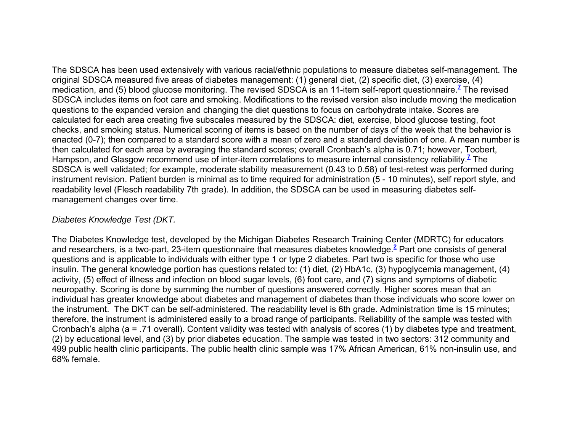The SDSCA has been used extensively with various racial/ethnic populations to measure diabetes self-management. The original SDSCA measured five areas of diabetes management: (1) general diet, (2) specific diet, (3) exercise, (4) medication, and (5) blood glucose monitoring. The revised SDSCA is an 11-item self-report questionnaire.**<sup>7</sup>** The revised SDSCA includes items on foot care and smoking. Modifications to the revised version also include moving the medication questions to the expanded version and changing the diet questions to focus on carbohydrate intake. Scores are calculated for each area creating five subscales measured by the SDSCA: diet, exercise, blood glucose testing, foot checks, and smoking status. Numerical scoring of items is based on the number of days of the week that the behavior is enacted (0-7); then compared to a standard score with a mean of zero and a standard deviation of one. A mean number is then calculated for each area by averaging the standard scores; overall Cronbach's alpha is 0.71; however, Toobert, Hampson, and Glasgow recommend use of inter-item correlations to measure internal consistency reliability.**<sup>7</sup>** The SDSCA is well validated; for example, moderate stability measurement (0.43 to 0.58) of test-retest was performed during instrument revision. Patient burden is minimal as to time required for administration (5 - 10 minutes), self report style, and readability level (Flesch readability 7th grade). In addition, the SDSCA can be used in measuring diabetes selfmanagement changes over time.

#### *Diabetes Knowledge Test (DKT.*

The Diabetes Knowledge test, developed by the Michigan Diabetes Research Training Center (MDRTC) for educators and researchers, is a two-part, 23-item questionnaire that measures diabetes knowledge.**<sup>2</sup>** Part one consists of general questions and is applicable to individuals with either type 1 or type 2 diabetes. Part two is specific for those who use insulin. The general knowledge portion has questions related to: (1) diet, (2) HbA1c, (3) hypoglycemia management, (4) activity, (5) effect of illness and infection on blood sugar levels, (6) foot care, and (7) signs and symptoms of diabetic neuropathy. Scoring is done by summing the number of questions answered correctly. Higher scores mean that an individual has greater knowledge about diabetes and management of diabetes than those individuals who score lower on the instrument. The DKT can be self-administered. The readability level is 6th grade. Administration time is 15 minutes; therefore, the instrument is administered easily to a broad range of participants. Reliability of the sample was tested with Cronbach's alpha (a = .71 overall). Content validity was tested with analysis of scores (1) by diabetes type and treatment, (2) by educational level, and (3) by prior diabetes education. The sample was tested in two sectors: 312 community and 499 public health clinic participants. The public health clinic sample was 17% African American, 61% non-insulin use, and 68% female.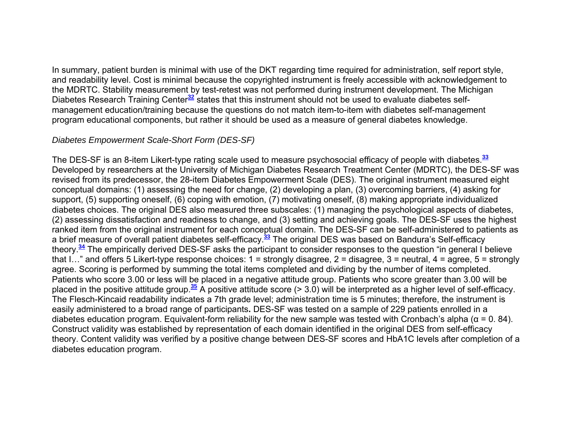In summary, patient burden is minimal with use of the DKT regarding time required for administration, self report style, and readability level. Cost is minimal because the copyrighted instrument is freely accessible with acknowledgement to the MDRTC. Stability measurement by test-retest was not performed during instrument development. The Michigan Diabetes Research Training Center**<sup>32</sup>** states that this instrument should not be used to evaluate diabetes selfmanagement education/training because the questions do not match item-to-item with diabetes self-management program educational components, but rather it should be used as a measure of general diabetes knowledge.

#### *Diabetes Empowerment Scale-Short Form (DES-SF)*

The DES-SF is an 8-item Likert-type rating scale used to measure psychosocial efficacy of people with diabetes.**<sup>33</sup>** Developed by researchers at the University of Michigan Diabetes Research Treatment Center (MDRTC), the DES-SF was revised from its predecessor, the 28-item Diabetes Empowerment Scale (DES). The original instrument measured eight conceptual domains: (1) assessing the need for change, (2) developing a plan, (3) overcoming barriers, (4) asking for support, (5) supporting oneself, (6) coping with emotion, (7) motivating oneself, (8) making appropriate individualized diabetes choices. The original DES also measured three subscales: (1) managing the psychological aspects of diabetes, (2) assessing dissatisfaction and readiness to change, and (3) setting and achieving goals. The DES-SF uses the highest ranked item from the original instrument for each conceptual domain. The DES-SF can be self-administered to patients as a brief measure of overall patient diabetes self-efficacy.**<sup>33</sup>** The original DES was based on Bandura's Self-efficacy theory.**<sup>34</sup>** The empirically derived DES-SF asks the participant to consider responses to the question "in general I believe that I..." and offers 5 Likert-type response choices:  $1 =$  strongly disagree,  $2 =$  disagree,  $3 =$  neutral,  $4 =$  agree,  $5 =$  strongly agree. Scoring is performed by summing the total items completed and dividing by the number of items completed. Patients who score 3.00 or less will be placed in a negative attitude group. Patients who score greater than 3.00 will be placed in the positive attitude group.**<sup>35</sup>** A positive attitude score (> 3.0) will be interpreted as a higher level of self-efficacy. The Flesch-Kincaid readability indicates a 7th grade level; administration time is 5 minutes; therefore, the instrument is easily administered to a broad range of participants**.** DES-SF was tested on a sample of 229 patients enrolled in a diabetes education program. Equivalent-form reliability for the new sample was tested with Cronbach's alpha ( $\alpha$  = 0.84). Construct validity was established by representation of each domain identified in the original DES from self-efficacy theory. Content validity was verified by a positive change between DES-SF scores and HbA1C levels after completion of a diabetes education program.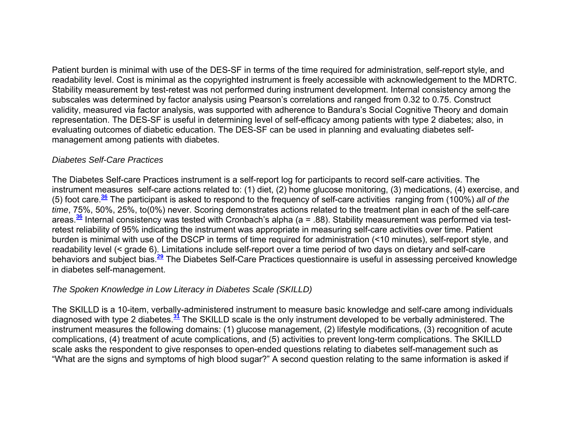Patient burden is minimal with use of the DES-SF in terms of the time required for administration, self-report style, and readability level. Cost is minimal as the copyrighted instrument is freely accessible with acknowledgement to the MDRTC. Stability measurement by test-retest was not performed during instrument development. Internal consistency among the subscales was determined by factor analysis using Pearson's correlations and ranged from 0.32 to 0.75. Construct validity, measured via factor analysis, was supported with adherence to Bandura's Social Cognitive Theory and domain representation. The DES-SF is useful in determining level of self-efficacy among patients with type 2 diabetes; also, in evaluating outcomes of diabetic education. The DES-SF can be used in planning and evaluating diabetes selfmanagement among patients with diabetes.

#### *Diabetes Self-Care Practices*

The Diabetes Self-care Practices instrument is a self-report log for participants to record self-care activities. The instrument measures self-care actions related to: (1) diet, (2) home glucose monitoring, (3) medications, (4) exercise, and (5) foot care.**<sup>36</sup>** The participant is asked to respond to the frequency of self-care activities ranging from (100%) *all of the time*, 75%, 50%, 25%, to(0%) never. Scoring demonstrates actions related to the treatment plan in each of the self-care areas.**<sup>36</sup>** Internal consistency was tested with Cronbach's alpha (a = .88). Stability measurement was performed via testretest reliability of 95% indicating the instrument was appropriate in measuring self-care activities over time. Patient burden is minimal with use of the DSCP in terms of time required for administration (<10 minutes), self-report style, and readability level (< grade 6). Limitations include self-report over a time period of two days on dietary and self-care behaviors and subject bias.**<sup>29</sup>** The Diabetes Self-Care Practices questionnaire is useful in assessing perceived knowledge in diabetes self-management.

## *The Spoken Knowledge in Low Literacy in Diabetes Scale (SKILLD)*

The SKILLD is a 10-item, verbally-administered instrument to measure basic knowledge and self-care among individuals diagnosed with type 2 diabetes.**<sup>31</sup>** The SKILLD scale is the only instrument developed to be verbally administered. The instrument measures the following domains: (1) glucose management, (2) lifestyle modifications, (3) recognition of acute complications, (4) treatment of acute complications, and (5) activities to prevent long-term complications. The SKILLD scale asks the respondent to give responses to open-ended questions relating to diabetes self-management such as "What are the signs and symptoms of high blood sugar?" A second question relating to the same information is asked if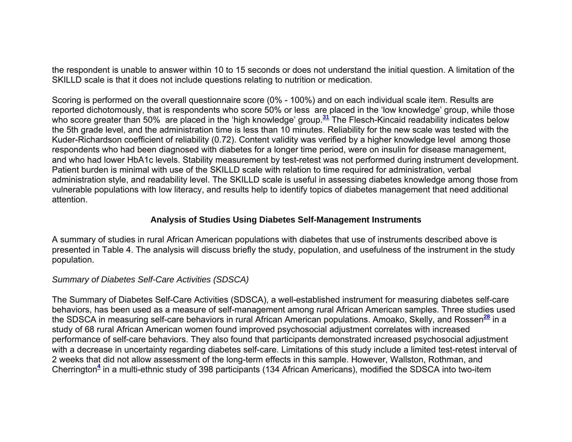the respondent is unable to answer within 10 to 15 seconds or does not understand the initial question. A limitation of the SKILLD scale is that it does not include questions relating to nutrition or medication.

Scoring is performed on the overall questionnaire score (0% - 100%) and on each individual scale item. Results are reported dichotomously, that is respondents who score 50% or less are placed in the 'low knowledge' group, while those who score greater than 50% are placed in the 'high knowledge' group.<sup>31</sup> The Flesch-Kincaid readability indicates below the 5th grade level, and the administration time is less than 10 minutes. Reliability for the new scale was tested with the Kuder-Richardson coefficient of reliability (0.72). Content validity was verified by a higher knowledge level among those respondents who had been diagnosed with diabetes for a longer time period, were on insulin for disease management, and who had lower HbA1c levels. Stability measurement by test-retest was not performed during instrument development. Patient burden is minimal with use of the SKILLD scale with relation to time required for administration, verbal administration style, and readability level. The SKILLD scale is useful in assessing diabetes knowledge among those from vulnerable populations with low literacy, and results help to identify topics of diabetes management that need additional attention.

#### **Analysis of Studies Using Diabetes Self-Management Instruments**

A summary of studies in rural African American populations with diabetes that use of instruments described above is presented in Table 4. The analysis will discuss briefly the study, population, and usefulness of the instrument in the study population.

## *Summary of Diabetes Self-Care Activities (SDSCA)*

The Summary of Diabetes Self-Care Activities (SDSCA), a well-established instrument for measuring diabetes self-care behaviors, has been used as a measure of self-management among rural African American samples. Three studies used the SDSCA in measuring self-care behaviors in rural African American populations. Amoako, Skelly, and Rossen**<sup>28</sup>** in a study of 68 rural African American women found improved psychosocial adjustment correlates with increased performance of self-care behaviors. They also found that participants demonstrated increased psychosocial adjustment with a decrease in uncertainty regarding diabetes self-care. Limitations of this study include a limited test-retest interval of 2 weeks that did not allow assessment of the long-term effects in this sample. However, Wallston, Rothman, and Cherrington**<sup>4</sup>** in a multi-ethnic study of 398 participants (134 African Americans), modified the SDSCA into two-item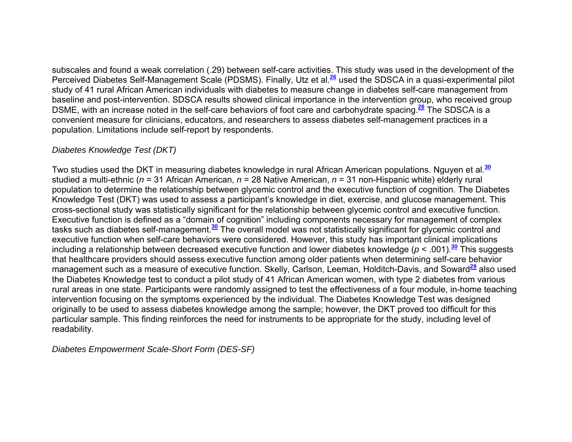subscales and found a weak correlation (.29) between self-care activities. This study was used in the development of the Perceived Diabetes Self-Management Scale (PDSMS). Finally, Utz et al.**<sup>26</sup>** used the SDSCA in a quasi-experimental pilot study of 41 rural African American individuals with diabetes to measure change in diabetes self-care management from baseline and post-intervention. SDSCA results showed clinical importance in the intervention group, who received group DSME, with an increase noted in the self-care behaviors of foot care and carbohydrate spacing.**<sup>26</sup>** The SDSCA is a convenient measure for clinicians, educators, and researchers to assess diabetes self-management practices in a population. Limitations include self-report by respondents.

## *Diabetes Knowledge Test (DKT)*

Two studies used the DKT in measuring diabetes knowledge in rural African American populations. Nguyen et al.**<sup>30</sup>** studied a multi-ethnic (*<sup>n</sup>* = 31 African American, *<sup>n</sup>* = 28 Native American, *<sup>n</sup>* = 31 non-Hispanic white) elderly rural population to determine the relationship between glycemic control and the executive function of cognition. The Diabetes Knowledge Test (DKT) was used to assess a participant's knowledge in diet, exercise, and glucose management. This cross-sectional study was statistically significant for the relationship between glycemic control and executive function. Executive function is defined as a "domain of cognition" including components necessary for management of complex tasks such as diabetes self-management.**<sup>30</sup>** The overall model was not statistically significant for glycemic control and executive function when self-care behaviors were considered. However, this study has important clinical implications including a relationship between decreased executive function and lower diabetes knowledge (*p* < .001).**<sup>30</sup>** This suggests that healthcare providers should assess executive function among older patients when determining self-care behavior management such as a measure of executive function. Skelly, Carlson, Leeman, Holditch-Davis, and Soward**<sup>29</sup>** also used the Diabetes Knowledge test to conduct a pilot study of 41 African American women, with type 2 diabetes from various rural areas in one state. Participants were randomly assigned to test the effectiveness of a four module, in-home teaching intervention focusing on the symptoms experienced by the individual. The Diabetes Knowledge Test was designed originally to be used to assess diabetes knowledge among the sample; however, the DKT proved too difficult for this particular sample. This finding reinforces the need for instruments to be appropriate for the study, including level of readability.

*Diabetes Empowerment Scale-Short Form (DES-SF)*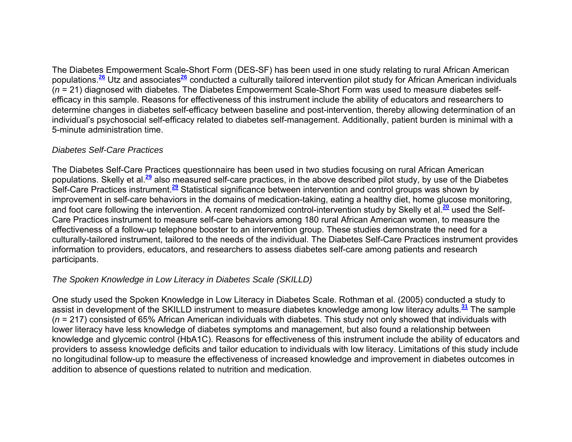The Diabetes Empowerment Scale-Short Form (DES-SF) has been used in one study relating to rural African American populations.**<sup>26</sup>** Utz and associates**<sup>26</sup>** conducted a culturally tailored intervention pilot study for African American individuals (*<sup>n</sup>* = 21) diagnosed with diabetes. The Diabetes Empowerment Scale-Short Form was used to measure diabetes selfefficacy in this sample. Reasons for effectiveness of this instrument include the ability of educators and researchers to determine changes in diabetes self-efficacy between baseline and post-intervention, thereby allowing determination of an individual's psychosocial self-efficacy related to diabetes self-management. Additionally, patient burden is minimal with a 5-minute administration time.

## *Diabetes Self-Care Practices*

The Diabetes Self-Care Practices questionnaire has been used in two studies focusing on rural African American populations. Skelly et al.**<sup>29</sup>** also measured self-care practices, in the above described pilot study, by use of the Diabetes Self-Care Practices instrument.**<sup>29</sup>** Statistical significance between intervention and control groups was shown by improvement in self-care behaviors in the domains of medication-taking, eating a healthy diet, home glucose monitoring, and foot care following the intervention. A recent randomized control-intervention study by Skelly et al.**<sup>20</sup>** used the Self-Care Practices instrument to measure self-care behaviors among 180 rural African American women, to measure the effectiveness of a follow-up telephone booster to an intervention group. These studies demonstrate the need for a culturally-tailored instrument, tailored to the needs of the individual. The Diabetes Self-Care Practices instrument provides information to providers, educators, and researchers to assess diabetes self-care among patients and research participants.

## *The Spoken Knowledge in Low Literacy in Diabetes Scale (SKILLD)*

One study used the Spoken Knowledge in Low Literacy in Diabetes Scale. Rothman et al. (2005) conducted a study to assist in development of the SKILLD instrument to measure diabetes knowledge among low literacy adults.**<sup>31</sup>** The sample (*<sup>n</sup>* = 217) consisted of 65% African American individuals with diabetes. This study not only showed that individuals with lower literacy have less knowledge of diabetes symptoms and management, but also found a relationship between knowledge and glycemic control (HbA1C). Reasons for effectiveness of this instrument include the ability of educators and providers to assess knowledge deficits and tailor education to individuals with low literacy. Limitations of this study include no longitudinal follow-up to measure the effectiveness of increased knowledge and improvement in diabetes outcomes in addition to absence of questions related to nutrition and medication.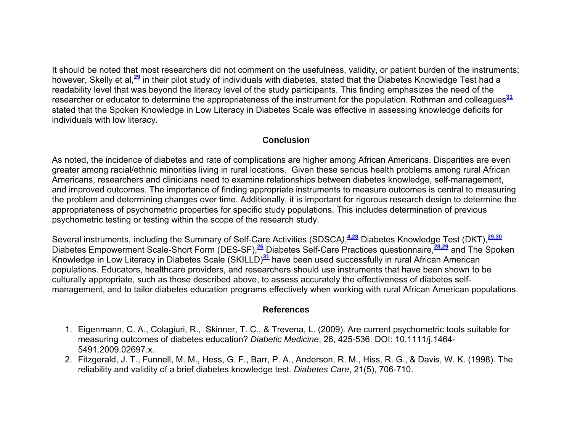It should be noted that most researchers did not comment on the usefulness, validity, or patient burden of the instruments; however, Skelly et al,**<sup>29</sup>** in their pilot study of individuals with diabetes, stated that the Diabetes Knowledge Test had a readability level that was beyond the literacy level of the study participants. This finding emphasizes the need of the researcher or educator to determine the appropriateness of the instrument for the population. Rothman and colleagues**<sup>31</sup>** stated that the Spoken Knowledge in Low Literacy in Diabetes Scale was effective in assessing knowledge deficits for individuals with low literacy.

## **Conclusion**

As noted, the incidence of diabetes and rate of complications are higher among African Americans. Disparities are even greater among racial/ethnic minorities living in rural locations. Given these serious health problems among rural African Americans, researchers and clinicians need to examine relationships between diabetes knowledge, self-management, and improved outcomes. The importance of finding appropriate instruments to measure outcomes is central to measuring the problem and determining changes over time. Additionally, it is important for rigorous research design to determine the appropriateness of psychometric properties for specific study populations. This includes determination of previous psychometric testing or testing within the scope of the research study.

Several instruments, including the Summary of Self-Care Activities (SDSCA*)*,**4,28** Diabetes Knowledge Test (DKT),**29,30** Diabetes Empowerment Scale-Short Form (DES-SF),**<sup>26</sup>** Diabetes Self-Care Practices questionnaire,**28,29** and The Spoken Knowledge in Low Literacy in Diabetes Scale (SKILLD)**<sup>31</sup>** have been used successfully in rural African American populations. Educators, healthcare providers, and researchers should use instruments that have been shown to be culturally appropriate, such as those described above, to assess accurately the effectiveness of diabetes selfmanagement, and to tailor diabetes education programs effectively when working with rural African American populations.

#### **References**

- 1. Eigenmann, C. A., Colagiuri, R., Skinner, T. C., & Trevena, L. (2009). Are current psychometric tools suitable for measuring outcomes of diabetes education? *Diabetic Medicine*, 26, 425-536. DOI: 10.1111/j.1464- 5491.2009.02697.x.
- 2. Fitzgerald, J. T., Funnell, M. M., Hess, G. F., Barr, P. A., Anderson, R. M., Hiss, R. G., & Davis, W. K. (1998). The reliability and validity of a brief diabetes knowledge test. *Diabetes Care*, 21(5), 706-710.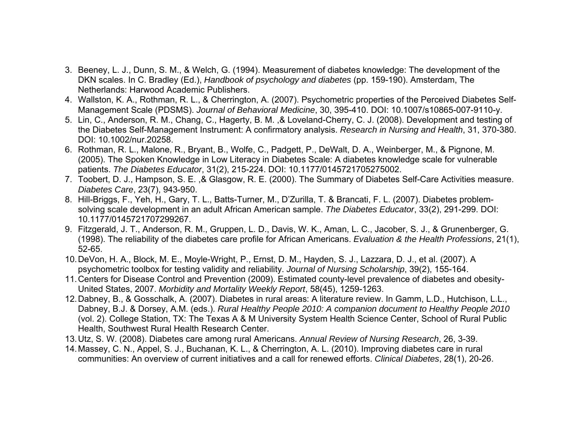- 3. Beeney, L. J., Dunn, S. M., & Welch, G. (1994). Measurement of diabetes knowledge: The development of the DKN scales. In C. Bradley (Ed.), *Handbook of psychology and diabetes* (pp. 159-190). Amsterdam, The Netherlands: Harwood Academic Publishers.
- 4. Wallston, K. A., Rothman, R. L., & Cherrington, A. (2007). Psychometric properties of the Perceived Diabetes Self-Management Scale (PDSMS). *Journal of Behavioral Medicine*, 30, 395-410. DOI: 10.1007/s10865-007-9110-y.
- 5. Lin, C., Anderson, R. M., Chang, C., Hagerty, B. M. ,& Loveland-Cherry, C. J. (2008). Development and testing of the Diabetes Self-Management Instrument: A confirmatory analysis. *Research in Nursing and Health*, 31, 370-380. DOI: 10.1002/nur.20258.
- 6. Rothman, R. L., Malone, R., Bryant, B., Wolfe, C., Padgett, P., DeWalt, D. A., Weinberger, M., & Pignone, M. (2005). The Spoken Knowledge in Low Literacy in Diabetes Scale: A diabetes knowledge scale for vulnerable patients. *The Diabetes Educator*, 31(2), 215-224. DOI: 10.1177/0145721705275002.
- 7. Toobert, D. J., Hampson, S. E. ,& Glasgow, R. E. (2000). The Summary of Diabetes Self-Care Activities measure. *Diabetes Care*, 23(7), 943-950.
- 8. Hill-Briggs, F., Yeh, H., Gary, T. L., Batts-Turner, M., D'Zurilla, T. & Brancati, F. L. (2007). Diabetes problemsolving scale development in an adult African American sample. *The Diabetes Educator*, 33(2), 291-299. DOI: 10.1177/0145721707299267.
- 9. Fitzgerald, J. T., Anderson, R. M., Gruppen, L. D., Davis, W. K., Aman, L. C., Jacober, S. J., & Grunenberger, G. (1998). The reliability of the diabetes care profile for African Americans. *Evaluation & the Health Professions*, 21(1), 52-65.
- 10. DeVon, H. A., Block, M. E., Moyle-Wright, P., Ernst, D. M., Hayden, S. J., Lazzara, D. J., et al. (2007). A psychometric toolbox for testing validity and reliability. *Journal of Nursing Scholarship*, 39(2), 155-164.
- 11. Centers for Disease Control and Prevention (2009). Estimated county-level prevalence of diabetes and obesity-United States, 2007. *Morbidity and Mortality Weekly Report*, 58(45), 1259-1263.
- 12. Dabney, B., & Gosschalk, A. (2007). Diabetes in rural areas: A literature review. In Gamm, L.D., Hutchison, L.L., Dabney, B.J. & Dorsey, A.M. (eds.). *Rural Healthy People 2010: A companion document to Healthy People 2010*  (vol. 2). College Station, TX: The Texas A & M University System Health Science Center, School of Rural Public Health, Southwest Rural Health Research Center.
- 13. Utz, S. W. (2008). Diabetes care among rural Americans. *Annual Review of Nursing Research*, 26, 3-39.
- 14. Massey, C. N., Appel, S. J., Buchanan, K. L., & Cherrington, A. L. (2010). Improving diabetes care in rural communities: An overview of current initiatives and a call for renewed efforts. *Clinical Diabetes*, 28(1), 20-26.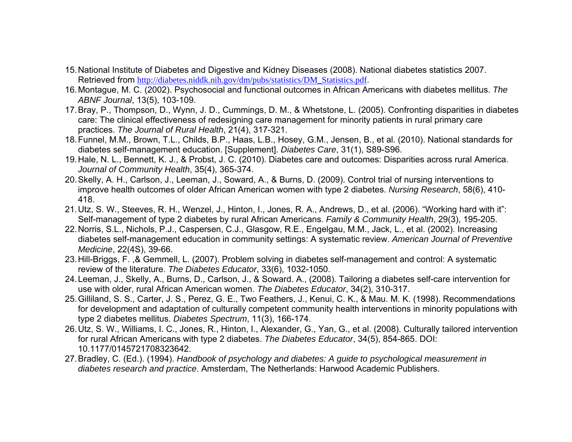- 15. National Institute of Diabetes and Digestive and Kidney Diseases (2008). National diabetes statistics 2007. Retrieved from http://diabetes.niddk.nih.gov/dm/pubs/statistics/DM\_Statistics.pdf.
- 16. Montague, M. C. (2002). Psychosocial and functional outcomes in African Americans with diabetes mellitus. *The ABNF Journal*, 13(5), 103-109.
- 17. Bray, P., Thompson, D., Wynn, J. D., Cummings, D. M., & Whetstone, L. (2005). Confronting disparities in diabetes care: The clinical effectiveness of redesigning care management for minority patients in rural primary care practices. *The Journal of Rural Health*, 21(4), 317-321.
- 18. Funnel, M.M., Brown, T.L., Childs, B.P., Haas, L.B., Hosey, G.M., Jensen, B., et al. (2010). National standards for diabetes self-management education. [Supplement]. *Diabetes Care*, 31(1), S89-S96.
- 19. Hale, N. L., Bennett, K. J., & Probst, J. C. (2010). Diabetes care and outcomes: Disparities across rural America. *Journal of Community Health*, 35(4), 365-374.
- 20. Skelly, A. H., Carlson, J., Leeman, J., Soward, A., & Burns, D. (2009). Control trial of nursing interventions to improve health outcomes of older African American women with type 2 diabetes. *Nursing Research*, 58(6), 410- 418.
- 21. Utz, S. W., Steeves, R. H., Wenzel, J., Hinton, I., Jones, R. A., Andrews, D., et al. (2006). "Working hard with it": Self-management of type 2 diabetes by rural African Americans. *Family & Community Health*, 29(3), 195-205.
- 22. Norris, S.L., Nichols, P.J., Caspersen, C.J., Glasgow, R.E., Engelgau, M.M., Jack, L., et al. (2002). Increasing diabetes self-management education in community settings: A systematic review. *American Journal of Preventive Medicine*, 22(4S), 39-66.
- 23. Hill-Briggs, F. ,& Gemmell, L. (2007). Problem solving in diabetes self-management and control: A systematic review of the literature. *The Diabetes Educator*, 33(6), 1032-1050.
- 24. Leeman, J., Skelly, A., Burns, D., Carlson, J., & Soward. A., (2008). Tailoring a diabetes self-care intervention for use with older, rural African American women. *The Diabetes Educator*, 34(2), 310-317.
- 25. Gilliland, S. S., Carter, J. S., Perez, G. E., Two Feathers, J., Kenui, C. K., & Mau. M. K. (1998). Recommendations for development and adaptation of culturally competent community health interventions in minority populations with type 2 diabetes mellitus. *Diabetes Spectrum*, 11(3), 166-174.
- 26. Utz, S. W., Williams, I. C., Jones, R., Hinton, I., Alexander, G., Yan, G., et al. (2008). Culturally tailored intervention for rural African Americans with type 2 diabetes. *The Diabetes Educator*, 34(5), 854-865. DOI: 10.1177/0145721708323642.
- 27. Bradley, C. (Ed.). (1994). *Handbook of psychology and diabetes: A guide to psychological measurement in diabetes research and practice*. Amsterdam, The Netherlands: Harwood Academic Publishers.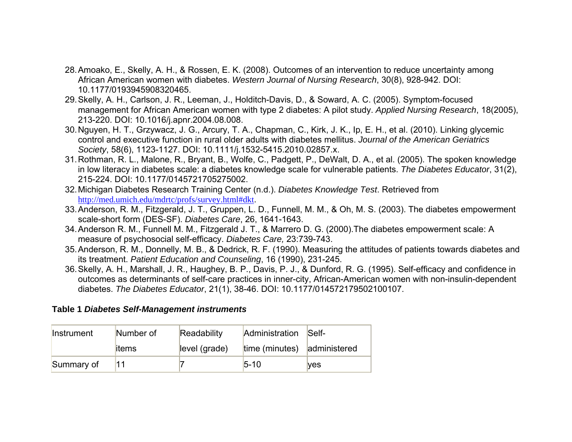- 28. Amoako, E., Skelly, A. H., & Rossen, E. K. (2008). Outcomes of an intervention to reduce uncertainty among African American women with diabetes. *Western Journal of Nursing Research*, 30(8), 928-942. DOI: 10.1177/0193945908320465.
- 29. Skelly, A. H., Carlson, J. R., Leeman, J., Holditch-Davis, D., & Soward, A. C. (2005). Symptom-focused management for African American women with type 2 diabetes: A pilot study. *Applied Nursing Research*, 18(2005), 213-220. DOI: 10.1016/j.apnr.2004.08.008.
- 30. Nguyen, H. T., Grzywacz, J. G., Arcury, T. A., Chapman, C., Kirk, J. K., Ip, E. H., et al. (2010). Linking glycemic control and executive function in rural older adults with diabetes mellitus. *Journal of the American Geriatrics Society*, 58(6), 1123-1127. DOI: 10.1111/j.1532-5415.2010.02857.x.
- 31. Rothman, R. L., Malone, R., Bryant, B., Wolfe, C., Padgett, P., DeWalt, D. A., et al. (2005). The spoken knowledge in low literacy in diabetes scale: a diabetes knowledge scale for vulnerable patients. *The Diabetes Educator*, 31(2), 215-224. DOI: 10.1177/0145721705275002.
- 32. Michigan Diabetes Research Training Center (n.d.). *Diabetes Knowledge Test*. Retrieved from http://med.umich.edu/mdrtc/profs/survey.html#dkt.
- 33. Anderson, R. M., Fitzgerald, J. T., Gruppen, L. D., Funnell, M. M., & Oh, M. S. (2003). The diabetes empowerment scale-short form (DES-SF). *Diabetes Care*, 26, 1641-1643.
- 34. Anderson R. M., Funnell M. M., Fitzgerald J. T., & Marrero D. G. (2000).The diabetes empowerment scale: A measure of psychosocial self-efficacy. *Diabetes Care,* 23:739-743.
- 35. Anderson, R. M., Donnelly, M. B., & Dedrick, R. F. (1990). Measuring the attitudes of patients towards diabetes and its treatment. *Patient Education and Counseling*, 16 (1990), 231-245.
- 36. Skelly, A. H., Marshall, J. R., Haughey, B. P., Davis, P. J., & Dunford, R. G. (1995). Self-efficacy and confidence in outcomes as determinants of self-care practices in inner-city, African-American women with non-insulin-dependent diabetes. *The Diabetes Educator*, 21(1), 38-46. DOI: 10.1177/014572179502100107.

#### **Table 1** *Diabetes Self-Management instruments*

| Instrument | Number of | Readability   | Administration              | Self-      |
|------------|-----------|---------------|-----------------------------|------------|
|            | litems    | level (grade) | time (minutes) administered |            |
| Summary of | '11       |               | $5 - 10$                    | <b>Ves</b> |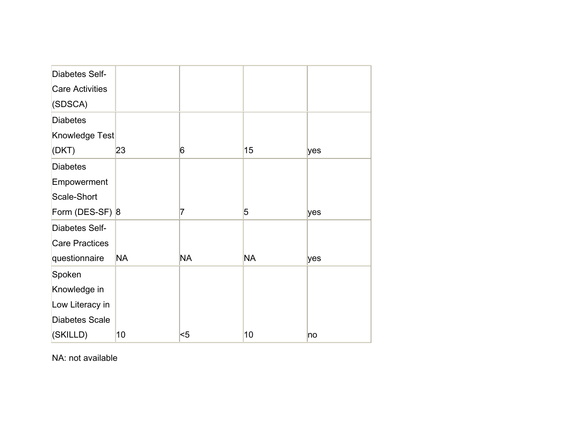| <b>Diabetes Self-</b>  |           |           |                |     |
|------------------------|-----------|-----------|----------------|-----|
| <b>Care Activities</b> |           |           |                |     |
| (SDSCA)                |           |           |                |     |
| <b>Diabetes</b>        |           |           |                |     |
| Knowledge Test         |           |           |                |     |
| (DKT)                  | 23        | 6         | 15             | yes |
| <b>Diabetes</b>        |           |           |                |     |
| Empowerment            |           |           |                |     |
| Scale-Short            |           |           |                |     |
| Form (DES-SF) 8        |           | 7         | $\overline{5}$ | yes |
| <b>Diabetes Self-</b>  |           |           |                |     |
| <b>Care Practices</b>  |           |           |                |     |
| questionnaire          | <b>NA</b> | <b>NA</b> | <b>NA</b>      | yes |
| Spoken                 |           |           |                |     |
| Knowledge in           |           |           |                |     |
| Low Literacy in        |           |           |                |     |
| <b>Diabetes Scale</b>  |           |           |                |     |
| (SKILLD)               | 10        | $5$       | 10             | no  |

NA: not available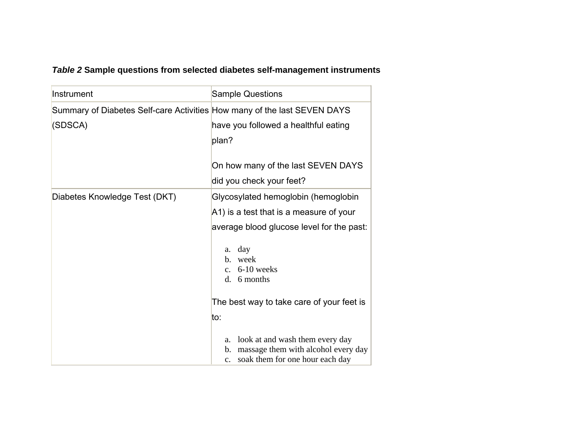# *Table 2* **Sample questions from selected diabetes self-management instruments**

| Instrument                                                               | <b>Sample Questions</b>                        |  |  |  |
|--------------------------------------------------------------------------|------------------------------------------------|--|--|--|
| Summary of Diabetes Self-care Activities How many of the last SEVEN DAYS |                                                |  |  |  |
| (SDSCA)                                                                  | have you followed a healthful eating           |  |  |  |
|                                                                          | plan?                                          |  |  |  |
|                                                                          |                                                |  |  |  |
|                                                                          | On how many of the last SEVEN DAYS             |  |  |  |
|                                                                          | did you check your feet?                       |  |  |  |
| Diabetes Knowledge Test (DKT)                                            | Glycosylated hemoglobin (hemoglobin            |  |  |  |
|                                                                          | A1) is a test that is a measure of your        |  |  |  |
|                                                                          | average blood glucose level for the past:      |  |  |  |
|                                                                          | a. day                                         |  |  |  |
|                                                                          | b. week                                        |  |  |  |
|                                                                          | c. $6-10$ weeks                                |  |  |  |
|                                                                          | d. 6 months                                    |  |  |  |
|                                                                          | The best way to take care of your feet is      |  |  |  |
|                                                                          | to:                                            |  |  |  |
|                                                                          | look at and wash them every day<br>a.          |  |  |  |
|                                                                          | massage them with alcohol every day<br>b.      |  |  |  |
|                                                                          | soak them for one hour each day<br>$c_{\cdot}$ |  |  |  |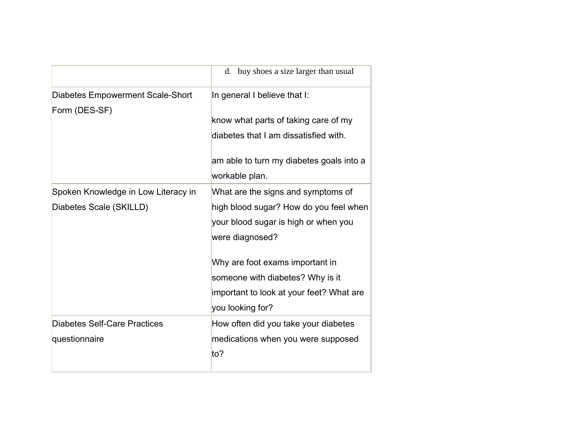|                                                                | d. buy shoes a size larger than usual                                                                                                                                                                                                                      |
|----------------------------------------------------------------|------------------------------------------------------------------------------------------------------------------------------------------------------------------------------------------------------------------------------------------------------------|
| <b>Diabetes Empowerment Scale-Short</b>                        | In general I believe that I:                                                                                                                                                                                                                               |
| Form (DES-SF)                                                  | know what parts of taking care of my<br>diabetes that I am dissatisfied with.<br>am able to turn my diabetes goals into a                                                                                                                                  |
|                                                                | workable plan.                                                                                                                                                                                                                                             |
| Spoken Knowledge in Low Literacy in<br>Diabetes Scale (SKILLD) | What are the signs and symptoms of<br>high blood sugar? How do you feel when<br>your blood sugar is high or when you<br>were diagnosed?<br>Why are foot exams important in<br>someone with diabetes? Why is it<br>important to look at your feet? What are |
|                                                                | you looking for?                                                                                                                                                                                                                                           |
| Diabetes Self-Care Practices<br>questionnaire                  | How often did you take your diabetes<br>medications when you were supposed<br>$t0$ ?                                                                                                                                                                       |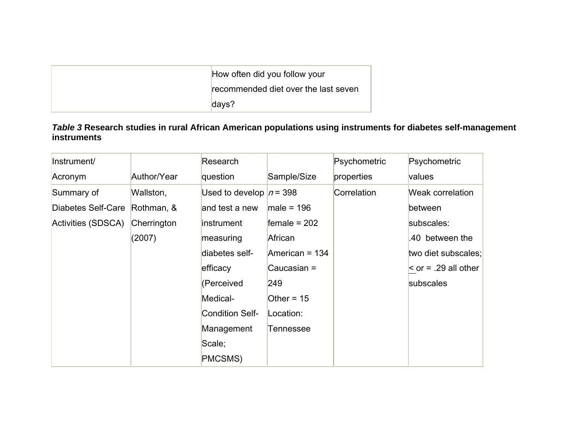| How often did you follow your        |
|--------------------------------------|
| recommended diet over the last seven |
| $\dots$                              |

# *Table 3* **Research studies in rural African American populations using instruments for diabetes self-management instruments**

| Instrument/        |             | Research                  |                | Psychometric | Psychometric             |
|--------------------|-------------|---------------------------|----------------|--------------|--------------------------|
| Acronym            | Author/Year | question                  | Sample/Size    | properties   | values                   |
| Summary of         | Wallston,   | Used to develop $n = 398$ |                | Correlation  | Weak correlation         |
| Diabetes Self-Care | Rothman, &  | and test a new            | male = $196$   |              | between                  |
| Activities (SDSCA) | Cherrington | instrument                | female = $202$ |              | subscales:               |
|                    | (2007)      | measuring                 | African        |              | .40 between the          |
|                    |             | diabetes self-            | American = 134 |              | two diet subscales;      |
|                    |             | efficacy                  | Caucasian =    |              | $\le$ or = .29 all other |
|                    |             | (Perceived                | 249            |              | subscales                |
|                    |             | Medical-                  | Other = $15$   |              |                          |
|                    |             | <b>Condition Self-</b>    | Location:      |              |                          |
|                    |             | Management                | Tennessee      |              |                          |
|                    |             | Scale;                    |                |              |                          |
|                    |             | PMCSMS)                   |                |              |                          |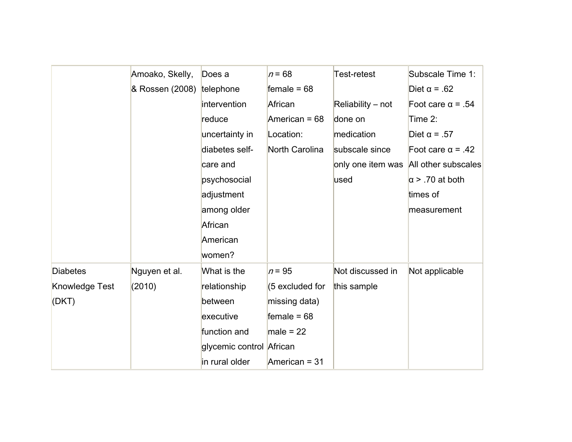|                 | Amoako, Skelly, | Does a                   | $n = 68$        | Test-retest       | Subscale Time 1:         |
|-----------------|-----------------|--------------------------|-----------------|-------------------|--------------------------|
|                 | & Rossen (2008) | telephone                | female = $68$   |                   | Diet $\alpha$ = .62      |
|                 |                 | intervention             | African         | Reliability - not | Foot care $\alpha$ = .54 |
|                 |                 | reduce                   | American = $68$ | done on           | Time 2:                  |
|                 |                 | uncertainty in           | Location:       | medication        | Diet $\alpha$ = .57      |
|                 |                 | diabetes self-           | North Carolina  | subscale since    | Foot care $\alpha$ = .42 |
|                 |                 | care and                 |                 | only one item was | All other subscales      |
|                 |                 | psychosocial             |                 | used              | $\alpha$ > .70 at both   |
|                 |                 | adjustment               |                 |                   | times of                 |
|                 |                 | among older              |                 |                   | measurement              |
|                 |                 | African                  |                 |                   |                          |
|                 |                 | American                 |                 |                   |                          |
|                 |                 | women?                   |                 |                   |                          |
| <b>Diabetes</b> | Nguyen et al.   | What is the              | $n = 95$        | Not discussed in  | Not applicable           |
| Knowledge Test  | (2010)          | relationship             | (5 excluded for | this sample       |                          |
| (DKT)           |                 | between                  | missing data)   |                   |                          |
|                 |                 | executive                | female = $68$   |                   |                          |
|                 |                 | function and             | male = $22$     |                   |                          |
|                 |                 | glycemic control African |                 |                   |                          |
|                 |                 | in rural older           | American = $31$ |                   |                          |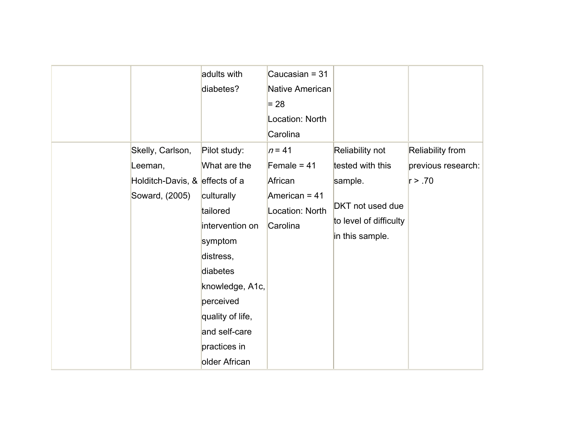|                                | adults with      | Caucasian = $31$ |                        |                         |
|--------------------------------|------------------|------------------|------------------------|-------------------------|
|                                | diabetes?        | Native American  |                        |                         |
|                                |                  | $= 28$           |                        |                         |
|                                |                  | Location: North  |                        |                         |
|                                |                  | Carolina         |                        |                         |
| Skelly, Carlson,               | Pilot study:     | $n = 41$         | Reliability not        | <b>Reliability from</b> |
| Leeman,                        | What are the     | Female = $41$    | tested with this       | previous research:      |
| Holditch-Davis, & effects of a |                  | African          | sample.                | r > .70                 |
| Soward, (2005)                 | culturally       | American = 41    |                        |                         |
|                                | tailored         | Location: North  | DKT not used due       |                         |
|                                | intervention on  | Carolina         | to level of difficulty |                         |
|                                | symptom          |                  | in this sample.        |                         |
|                                | distress,        |                  |                        |                         |
|                                | diabetes         |                  |                        |                         |
|                                | knowledge, A1c,  |                  |                        |                         |
|                                | perceived        |                  |                        |                         |
|                                | quality of life, |                  |                        |                         |
|                                | and self-care    |                  |                        |                         |
|                                | practices in     |                  |                        |                         |
|                                | older African    |                  |                        |                         |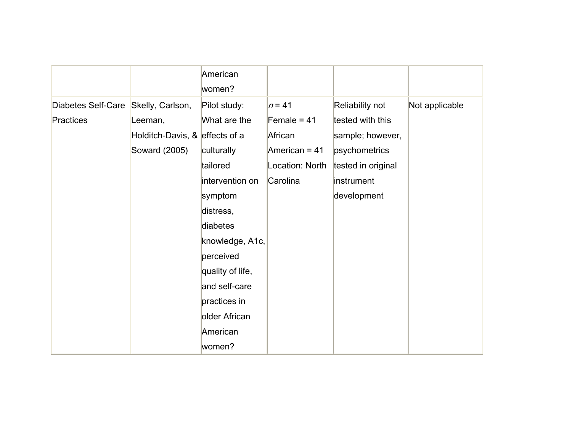|                                     |                                | American<br>women? |                 |                    |                |
|-------------------------------------|--------------------------------|--------------------|-----------------|--------------------|----------------|
| Diabetes Self-Care Skelly, Carlson, |                                | Pilot study:       | $n = 41$        | Reliability not    | Not applicable |
| Practices                           | Leeman,                        | What are the       | Female = $41$   | tested with this   |                |
|                                     | Holditch-Davis, & effects of a |                    | African         | sample; however,   |                |
|                                     | Soward (2005)                  | culturally         | American = 41   | psychometrics      |                |
|                                     |                                | tailored           | Location: North | tested in original |                |
|                                     |                                | intervention on    | Carolina        | instrument         |                |
|                                     |                                | symptom            |                 | development        |                |
|                                     |                                | distress,          |                 |                    |                |
|                                     |                                | diabetes           |                 |                    |                |
|                                     |                                | knowledge, A1c,    |                 |                    |                |
|                                     |                                | perceived          |                 |                    |                |
|                                     |                                | quality of life,   |                 |                    |                |
|                                     |                                | and self-care      |                 |                    |                |
|                                     |                                | practices in       |                 |                    |                |
|                                     |                                | older African      |                 |                    |                |
|                                     |                                | American           |                 |                    |                |
|                                     |                                | women?             |                 |                    |                |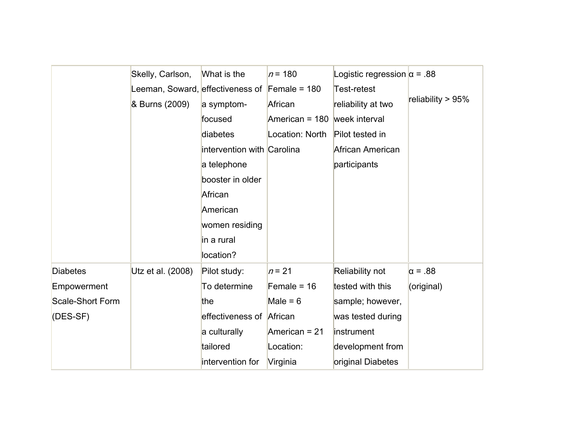|                  | Skelly, Carlson,                 | What is the                | $n = 180$       | Logistic regression $\alpha$ = .88 |                   |
|------------------|----------------------------------|----------------------------|-----------------|------------------------------------|-------------------|
|                  | Leeman, Soward, effectiveness of |                            | Female = $180$  | Test-retest                        |                   |
|                  | & Burns (2009)                   | a symptom-                 | African         | reliability at two                 | reliability > 95% |
|                  |                                  | focused                    | American = 180  | week interval                      |                   |
|                  |                                  | diabetes                   | Location: North | Pilot tested in                    |                   |
|                  |                                  | intervention with Carolina |                 | African American                   |                   |
|                  |                                  | a telephone                |                 | participants                       |                   |
|                  |                                  | booster in older           |                 |                                    |                   |
|                  |                                  | African                    |                 |                                    |                   |
|                  |                                  | American                   |                 |                                    |                   |
|                  |                                  | women residing             |                 |                                    |                   |
|                  |                                  | in a rural                 |                 |                                    |                   |
|                  |                                  | location?                  |                 |                                    |                   |
| <b>Diabetes</b>  | Utz et al. (2008)                | Pilot study:               | $n = 21$        | Reliability not                    | $\alpha = .88$    |
| Empowerment      |                                  | To determine               | Female = $16$   | tested with this                   | (original)        |
| Scale-Short Form |                                  | the                        | Male = $6$      | sample; however,                   |                   |
| (DES-SF)         |                                  | effectiveness of African   |                 | was tested during                  |                   |
|                  |                                  | a culturally               | American = 21   | instrument                         |                   |
|                  |                                  | tailored                   | Location:       | development from                   |                   |
|                  |                                  | intervention for           | Virginia        | original Diabetes                  |                   |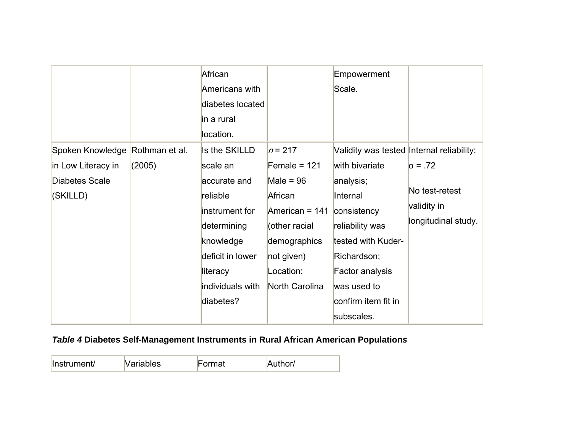|                                                                                            |        | African<br>Americans with<br>diabetes located<br>in a rural<br>location.                                                                                             |                                                                                                                                                       | Empowerment<br>Scale.                                                                                                                                                                                                              |                                                                        |
|--------------------------------------------------------------------------------------------|--------|----------------------------------------------------------------------------------------------------------------------------------------------------------------------|-------------------------------------------------------------------------------------------------------------------------------------------------------|------------------------------------------------------------------------------------------------------------------------------------------------------------------------------------------------------------------------------------|------------------------------------------------------------------------|
| Spoken Knowledge Rothman et al.<br>in Low Literacy in<br><b>Diabetes Scale</b><br>(SKILLD) | (2005) | Is the SKILLD<br>scale an<br>accurate and<br>reliable<br>instrument for<br>determining<br>knowledge<br>deficit in lower<br>literacy<br>individuals with<br>diabetes? | $n = 217$<br>Female = $121$<br>Male = $96$<br>African<br>American = 141<br>(other racial<br>demographics<br>not given)<br>Location:<br>North Carolina | Validity was tested Internal reliability:<br>with bivariate<br>analysis;<br>Internal<br>consistency<br>reliability was<br>tested with Kuder-<br>Richardson;<br>Factor analysis<br>was used to<br>confirm item fit in<br>subscales. | $\alpha = .72$<br>No test-retest<br>validity in<br>longitudinal study. |

# *Table 4* **Diabetes Self-Management Instruments in Rural African American Population***<sup>s</sup>*

| Instrument/ | <b>Variables</b> | <b>Format</b> | Author/ |
|-------------|------------------|---------------|---------|
|-------------|------------------|---------------|---------|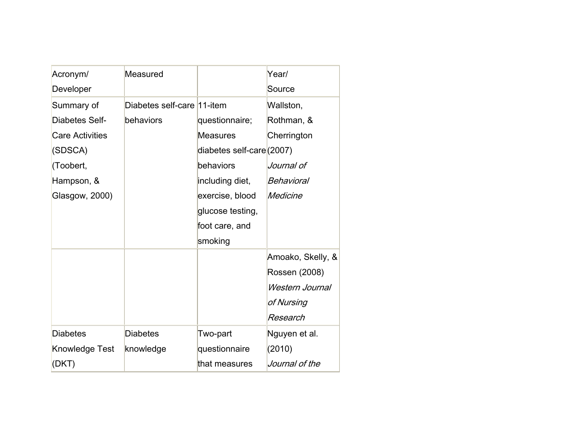| Acronym/               | Measured                   |                           | Year/             |
|------------------------|----------------------------|---------------------------|-------------------|
| Developer              |                            |                           | Source            |
| Summary of             | Diabetes self-care 11-item |                           | Wallston,         |
| Diabetes Self-         | behaviors                  | questionnaire;            | Rothman, &        |
| <b>Care Activities</b> |                            | <b>Measures</b>           | Cherrington       |
| (SDSCA)                |                            | diabetes self-care (2007) |                   |
| (Toobert,              |                            | behaviors                 | Journal of        |
| Hampson, &             |                            | including diet,           | Behavioral        |
| Glasgow, 2000)         |                            | exercise, blood           | Medicine          |
|                        |                            | glucose testing,          |                   |
|                        |                            | foot care, and            |                   |
|                        |                            | smoking                   |                   |
|                        |                            |                           | Amoako, Skelly, & |
|                        |                            |                           | Rossen (2008)     |
|                        |                            |                           | Western Journal   |
|                        |                            |                           | of Nursing        |
|                        |                            |                           | Research          |
| <b>Diabetes</b>        | <b>Diabetes</b>            | Two-part                  | Nguyen et al.     |
| Knowledge Test         | knowledge                  | questionnaire             | (2010)            |
| (DKT)                  |                            | that measures             | Journal of the    |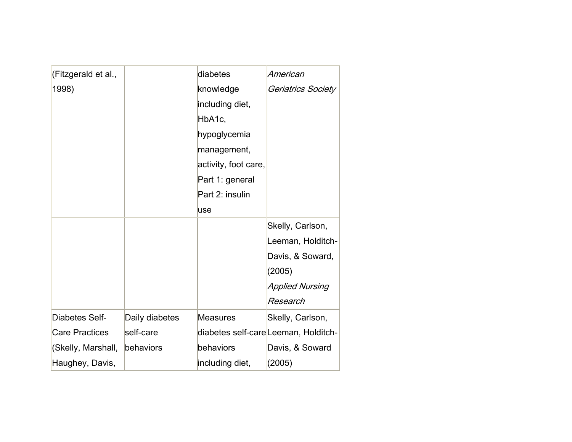| (Fitzgerald et al.,   |                | diabetes             | American                             |
|-----------------------|----------------|----------------------|--------------------------------------|
| 1998)                 |                | knowledge            | Geriatrics Society                   |
|                       |                | including diet,      |                                      |
|                       |                | HbA1c,               |                                      |
|                       |                | hypoglycemia         |                                      |
|                       |                | management,          |                                      |
|                       |                | activity, foot care, |                                      |
|                       |                | Part 1: general      |                                      |
|                       |                | Part 2: insulin      |                                      |
|                       |                | use                  |                                      |
|                       |                |                      | Skelly, Carlson,                     |
|                       |                |                      | Leeman, Holditch-                    |
|                       |                |                      | Davis, & Soward,                     |
|                       |                |                      | (2005)                               |
|                       |                |                      | Applied Nursing                      |
|                       |                |                      | Research                             |
| <b>Diabetes Self-</b> | Daily diabetes | <b>Measures</b>      | Skelly, Carlson,                     |
| <b>Care Practices</b> | self-care      |                      | diabetes self-care Leeman, Holditch- |
| (Skelly, Marshall,    | behaviors      | behaviors            | Davis, & Soward                      |
| Haughey, Davis,       |                | including diet,      | (2005)                               |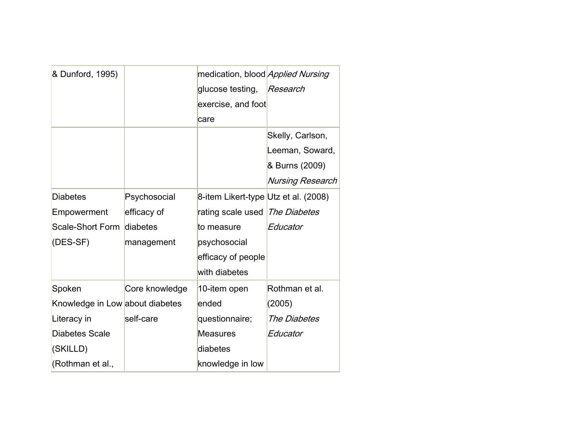| & Dunford, 1995)                |                | medication, blood Applied Nursing    |                         |
|---------------------------------|----------------|--------------------------------------|-------------------------|
|                                 |                | glucose testing,                     | Research                |
|                                 |                | exercise, and foot                   |                         |
|                                 |                | care                                 |                         |
|                                 |                |                                      | Skelly, Carlson,        |
|                                 |                |                                      | Leeman, Soward,         |
|                                 |                |                                      | & Burns (2009)          |
|                                 |                |                                      | <b>Nursing Research</b> |
| <b>Diabetes</b>                 | Psychosocial   | 8-item Likert-type Utz et al. (2008) |                         |
| Empowerment                     | efficacy of    | rating scale used   The Diabetes     |                         |
| Scale-Short Form                | diabetes       | to measure                           | Educator                |
| (DES-SF)                        | management     | psychosocial                         |                         |
|                                 |                | efficacy of people                   |                         |
|                                 |                | with diabetes                        |                         |
| Spoken                          | Core knowledge | 10-item open                         | Rothman et al.          |
| Knowledge in Low about diabetes |                | ended                                | (2005)                  |
| Literacy in                     | self-care      | questionnaire;                       | The Diabetes            |
| <b>Diabetes Scale</b>           |                | <b>Measures</b>                      | Educator                |
| (SKILLD)                        |                | diabetes                             |                         |
| (Rothman et al.,                |                | knowledge in low                     |                         |